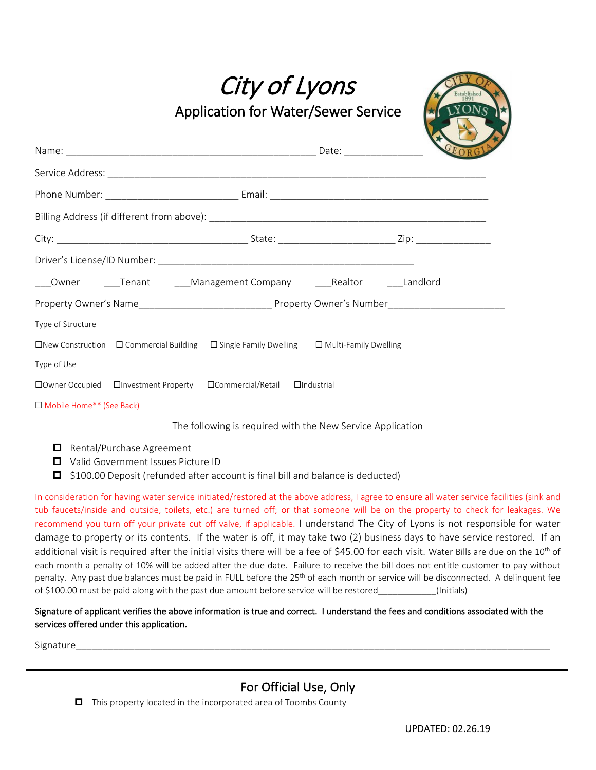City of Lyons

Application for Water/Sewer Service



|                            | ___Owner _____Tenant ____Management Company ____Realtor _____Landlord                                         |  |
|----------------------------|---------------------------------------------------------------------------------------------------------------|--|
|                            |                                                                                                               |  |
| Type of Structure          |                                                                                                               |  |
|                            | $\Box$ New Construction $\Box$ Commercial Building $\Box$ Single Family Dwelling $\Box$ Multi-Family Dwelling |  |
| Type of Use                |                                                                                                               |  |
|                            |                                                                                                               |  |
| □ Mobile Home** (See Back) |                                                                                                               |  |

The following is required with the New Service Application

- Rental/Purchase Agreement
- Valid Government Issues Picture ID
- □ \$100.00 Deposit (refunded after account is final bill and balance is deducted)

In consideration for having water service initiated/restored at the above address, I agree to ensure all water service facilities (sink and tub faucets/inside and outside, toilets, etc.) are turned off; or that someone will be on the property to check for leakages. We recommend you turn off your private cut off valve, if applicable. I understand The City of Lyons is not responsible for water damage to property or its contents. If the water is off, it may take two (2) business days to have service restored. If an additional visit is required after the initial visits there will be a fee of \$45.00 for each visit. Water Bills are due on the 10<sup>th</sup> of each month a penalty of 10% will be added after the due date. Failure to receive the bill does not entitle customer to pay without penalty. Any past due balances must be paid in FULL before the 25<sup>th</sup> of each month or service will be disconnected. A delinquent fee of \$100.00 must be paid along with the past due amount before service will be restored (Initials)

## Signature of applicant verifies the above information is true and correct. I understand the fees and conditions associated with the services offered under this application.

Signature\_\_\_\_\_\_\_\_\_\_\_\_\_\_\_\_\_\_\_\_\_\_\_\_\_\_\_\_\_\_\_\_\_\_\_\_\_\_\_\_\_\_\_\_\_\_\_\_\_\_\_\_\_\_\_\_\_\_\_\_\_\_\_\_\_\_\_\_\_\_\_\_\_\_\_\_\_\_\_\_\_\_\_\_\_\_\_\_\_

# For Official Use, Only

 $\Box$  This property located in the incorporated area of Toombs County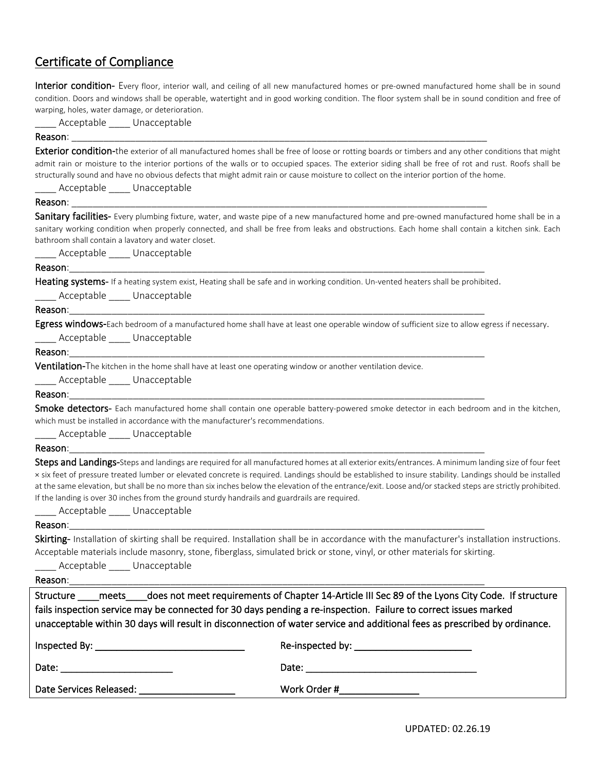# Certificate of Compliance

Interior condition- Every floor, interior wall, and ceiling of all new manufactured homes or pre-owned manufactured home shall be in sound condition. Doors and windows shall be operable, watertight and in good working condition. The floor system shall be in sound condition and free of warping, holes, water damage, or deterioration.

Acceptable Unacceptable

## Reason: \_\_\_\_\_\_\_\_\_\_\_\_\_\_\_\_\_\_\_\_\_\_\_\_\_\_\_\_\_\_\_\_\_\_\_\_\_\_\_\_\_\_\_\_\_\_\_\_\_\_\_\_\_\_\_\_\_\_\_\_\_\_\_\_\_\_\_\_\_\_\_\_\_\_\_\_\_\_

**Exterior condition-**the exterior of all manufactured homes shall be free of loose or rotting boards or timbers and any other conditions that might admit rain or moisture to the interior portions of the walls or to occupied spaces. The exterior siding shall be free of rot and rust. Roofs shall be structurally sound and have no obvious defects that might admit rain or cause moisture to collect on the interior portion of the home.

Acceptable Unacceptable

Reason: \_\_\_\_\_\_\_\_\_\_\_\_\_\_\_\_\_\_\_\_\_\_\_\_\_\_\_\_\_\_\_\_\_\_\_\_\_\_\_\_\_\_\_\_\_\_\_\_\_\_\_\_\_\_\_\_\_\_\_\_\_\_\_\_\_\_\_\_\_\_\_\_\_\_\_\_\_\_ Sanitary facilities- Every plumbing fixture, water, and waste pipe of a new manufactured home and pre-owned manufactured home shall be in a sanitary working condition when properly connected, and shall be free from leaks and obstructions. Each home shall contain a kitchen sink. Each bathroom shall contain a lavatory and water closet. Acceptable Unacceptable

## Reason:\_\_\_\_\_\_\_\_\_\_\_\_\_\_\_\_\_\_\_\_\_\_\_\_\_\_\_\_\_\_\_\_\_\_\_\_\_\_\_\_\_\_\_\_\_\_\_\_\_\_\_\_\_\_\_\_\_\_\_\_\_\_\_\_\_\_\_\_\_\_\_\_\_\_\_\_\_\_

Heating systems- If a heating system exist, Heating shall be safe and in working condition. Un-vented heaters shall be prohibited.

Acceptable \_\_\_\_\_ Unacceptable

Reason:\_\_\_\_\_\_\_\_\_\_\_\_\_\_\_\_\_\_\_\_\_\_\_\_\_\_\_\_\_\_\_\_\_\_\_\_\_\_\_\_\_\_\_\_\_\_\_\_\_\_\_\_\_\_\_\_\_\_\_\_\_\_\_\_\_\_\_\_\_\_\_\_\_\_\_\_\_\_

Egress windows-Each bedroom of a manufactured home shall have at least one operable window of sufficient size to allow egress if necessary. Acceptable Unacceptable

## Reason:\_\_\_\_\_\_\_\_\_\_\_\_\_\_\_\_\_\_\_\_\_\_\_\_\_\_\_\_\_\_\_\_\_\_\_\_\_\_\_\_\_\_\_\_\_\_\_\_\_\_\_\_\_\_\_\_\_\_\_\_\_\_\_\_\_\_\_\_\_\_\_\_\_\_\_\_\_\_

**Ventilation-**The kitchen in the home shall have at least one operating window or another ventilation device.

Acceptable Unacceptable

### Reason:\_\_\_\_\_\_\_\_\_\_\_\_\_\_\_\_\_\_\_\_\_\_\_\_\_\_\_\_\_\_\_\_\_\_\_\_\_\_\_\_\_\_\_\_\_\_\_\_\_\_\_\_\_\_\_\_\_\_\_\_\_\_\_\_\_\_\_\_\_\_\_\_\_\_\_\_\_\_

Smoke detectors- Each manufactured home shall contain one operable battery-powered smoke detector in each bedroom and in the kitchen. which must be installed in accordance with the manufacturer's recommendations.

Acceptable \_\_\_\_\_ Unacceptable

## Reason:\_\_\_\_\_\_\_\_\_\_\_\_\_\_\_\_\_\_\_\_\_\_\_\_\_\_\_\_\_\_\_\_\_\_\_\_\_\_\_\_\_\_\_\_\_\_\_\_\_\_\_\_\_\_\_\_\_\_\_\_\_\_\_\_\_\_\_\_\_\_\_\_\_\_\_\_\_\_

Steps and Landings-Steps and landings are required for all manufactured homes at all exterior exits/entrances. A minimum landing size of four feet × six feet of pressure treated lumber or elevated concrete is required. Landings should be established to insure stability. Landings should be installed at the same elevation, but shall be no more than six inches below the elevation of the entrance/exit. Loose and/or stacked steps are strictly prohibited. If the landing is over 30 inches from the ground sturdy handrails and guardrails are required.

Acceptable Unacceptable

## Reason:\_\_\_\_\_\_\_\_\_\_\_\_\_\_\_\_\_\_\_\_\_\_\_\_\_\_\_\_\_\_\_\_\_\_\_\_\_\_\_\_\_\_\_\_\_\_\_\_\_\_\_\_\_\_\_\_\_\_\_\_\_\_\_\_\_\_\_\_\_\_\_\_\_\_\_\_\_\_

Skirting- Installation of skirting shall be required. Installation shall be in accordance with the manufacturer's installation instructions. Acceptable materials include masonry, stone, fiberglass, simulated brick or stone, vinyl, or other materials for skirting.

Acceptable Unacceptable

Reason:\_\_\_\_\_\_\_\_\_\_\_\_\_\_\_\_\_\_\_\_\_\_\_\_\_\_\_\_\_\_\_\_\_\_\_\_\_\_\_\_\_\_\_\_\_\_\_\_\_\_\_\_\_\_\_\_\_\_\_\_\_\_\_\_\_\_\_\_\_\_\_\_\_\_\_\_\_\_

Structure \_\_\_\_meets \_\_\_does not meet requirements of Chapter 14-Article III Sec 89 of the Lyons City Code. If structure fails inspection service may be connected for 30 days pending a re-inspection. Failure to correct issues marked unacceptable within 30 days will result in disconnection of water service and additional fees as prescribed by ordinance. Inspected By: The same set of the set of the Re-inspected by:  $\mathsf{Re}\text{-}\mathsf{inspected}$  by: Date: \_\_\_\_\_\_\_\_\_\_\_\_\_\_\_\_\_\_\_\_\_ Date: \_\_\_\_\_\_\_\_\_\_\_\_\_\_\_\_\_\_\_\_\_\_\_\_\_\_\_\_\_\_\_\_

Date Services Released: \_\_\_\_\_\_\_

| Work Order # |  |
|--------------|--|